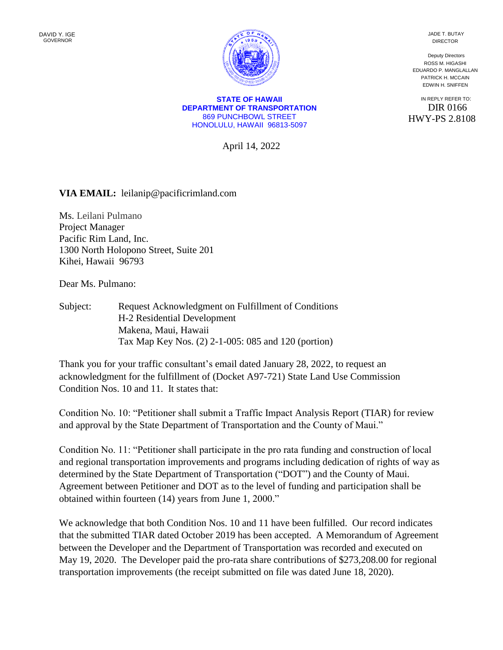**STATE OF HAWAII DEPARTMENT OF TRANSPORTATION** 869 PUNCHBOWL STREET HONOLULU, HAWAII 96813-5097

April 14, 2022

**VIA EMAIL:** leilanip@pacificrimland.com

Ms. Leilani Pulmano Project Manager Pacific Rim Land, Inc. 1300 North Holopono Street, Suite 201 Kihei, Hawaii 96793

Dear Ms. Pulmano:

Subject: Request Acknowledgment on Fulfillment of Conditions H-2 Residential Development Makena, Maui, Hawaii Tax Map Key Nos. (2) 2-1-005: 085 and 120 (portion)

Thank you for your traffic consultant's email dated January 28, 2022, to request an acknowledgment for the fulfillment of (Docket A97-721) State Land Use Commission Condition Nos. 10 and 11. It states that:

Condition No. 10: "Petitioner shall submit a Traffic Impact Analysis Report (TIAR) for review and approval by the State Department of Transportation and the County of Maui."

Condition No. 11: "Petitioner shall participate in the pro rata funding and construction of local and regional transportation improvements and programs including dedication of rights of way as determined by the State Department of Transportation ("DOT") and the County of Maui. Agreement between Petitioner and DOT as to the level of funding and participation shall be obtained within fourteen (14) years from June 1, 2000."

We acknowledge that both Condition Nos. 10 and 11 have been fulfilled. Our record indicates that the submitted TIAR dated October 2019 has been accepted. A Memorandum of Agreement between the Developer and the Department of Transportation was recorded and executed on May 19, 2020. The Developer paid the pro-rata share contributions of \$273,208.00 for regional transportation improvements (the receipt submitted on file was dated June 18, 2020).

JADE T. BUTAY DIRECTOR

Deputy Directors ROSS M. HIGASHI EDUARDO P. MANGLALLAN PATRICK H. MCCAIN EDWIN H. SNIFFEN

IN REPLY REFER TO: DIR 0166 HWY-PS 2.8108